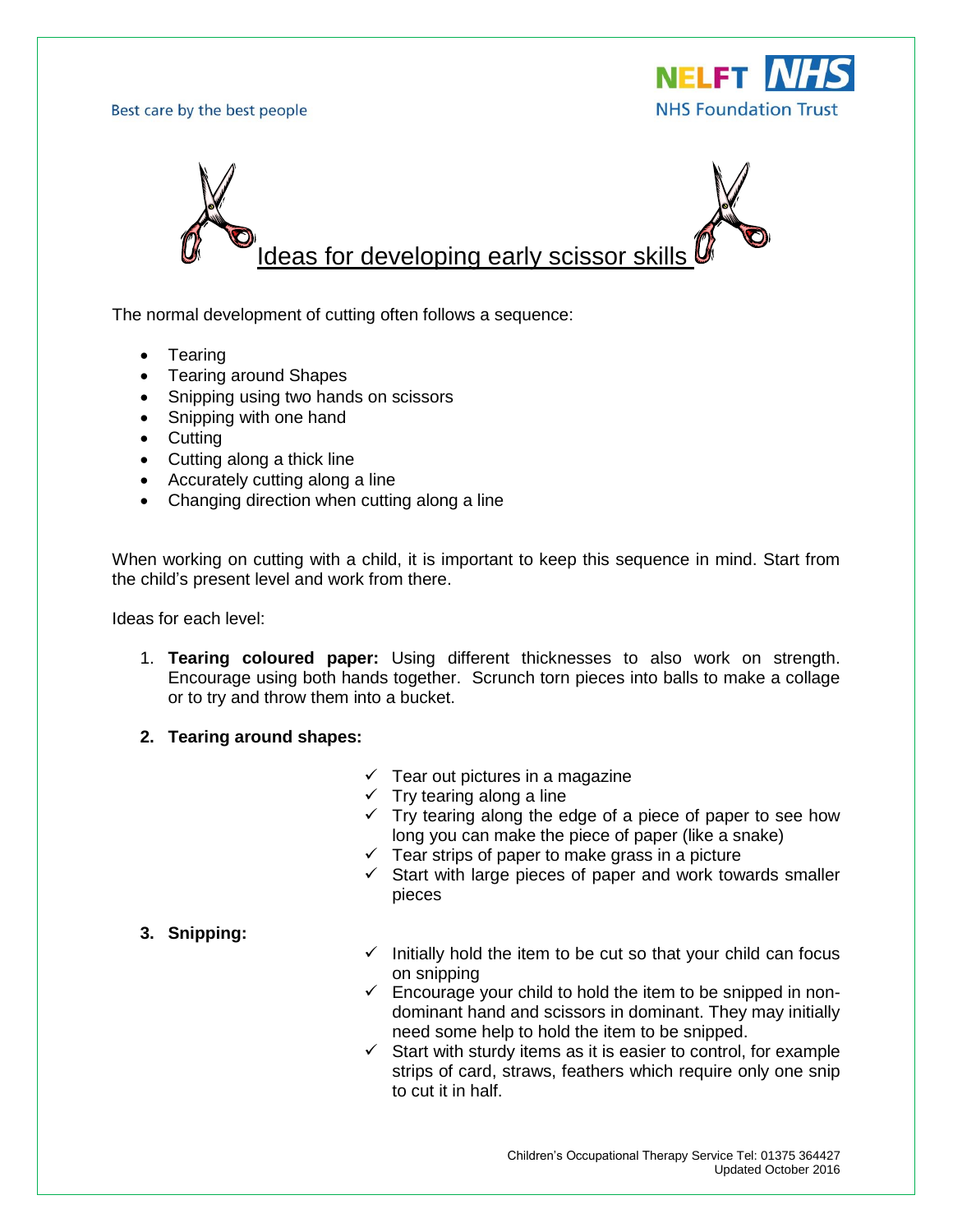Best care by the best people





The normal development of cutting often follows a sequence:

- Tearing
- Tearing around Shapes
- Snipping using two hands on scissors
- Snipping with one hand
- Cutting
- Cutting along a thick line
- Accurately cutting along a line
- Changing direction when cutting along a line

When working on cutting with a child, it is important to keep this sequence in mind. Start from the child's present level and work from there.

Ideas for each level:

- 1. **Tearing coloured paper:** Using different thicknesses to also work on strength. Encourage using both hands together. Scrunch torn pieces into balls to make a collage or to try and throw them into a bucket.
- **2. Tearing around shapes:**
	- $\checkmark$  Tear out pictures in a magazine
	- $\checkmark$  Try tearing along a line
	- $\checkmark$  Try tearing along the edge of a piece of paper to see how long you can make the piece of paper (like a snake)
	- $\checkmark$  Tear strips of paper to make grass in a picture
	- $\checkmark$  Start with large pieces of paper and work towards smaller pieces

## **3. Snipping:**

- $\checkmark$  Initially hold the item to be cut so that your child can focus on snipping
- $\checkmark$  Encourage your child to hold the item to be snipped in nondominant hand and scissors in dominant. They may initially need some help to hold the item to be snipped.
- $\checkmark$  Start with sturdy items as it is easier to control, for example strips of card, straws, feathers which require only one snip to cut it in half.